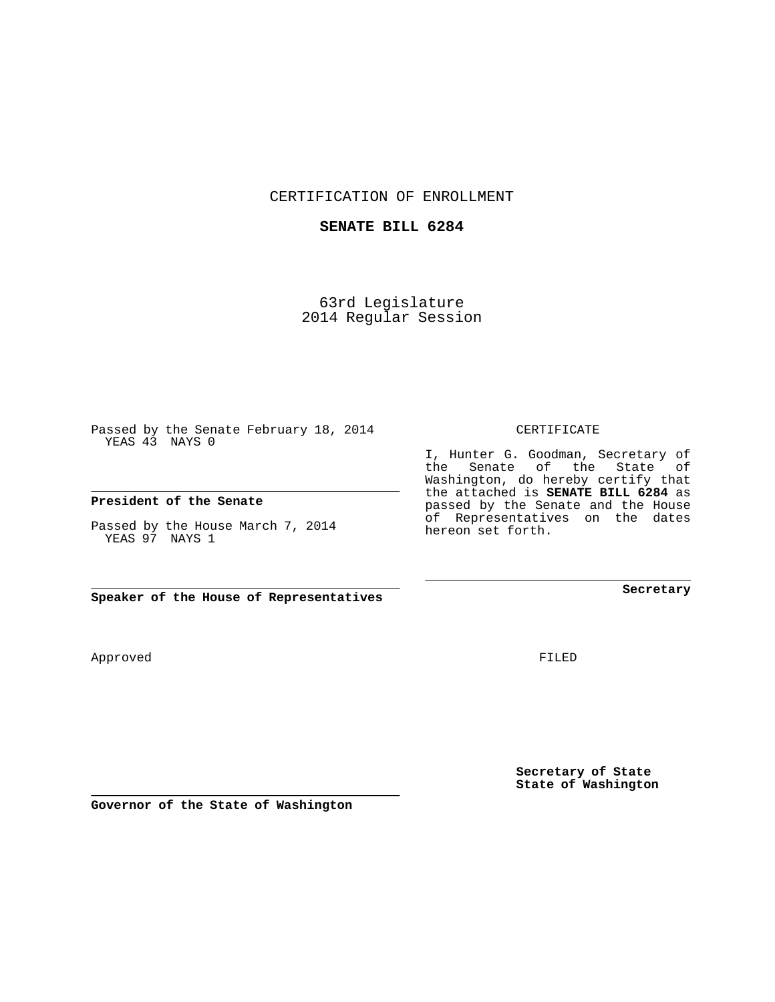CERTIFICATION OF ENROLLMENT

## **SENATE BILL 6284**

63rd Legislature 2014 Regular Session

Passed by the Senate February 18, 2014 YEAS 43 NAYS 0

## **President of the Senate**

Passed by the House March 7, 2014 YEAS 97 NAYS 1

**Speaker of the House of Representatives**

Approved

FILED

**Secretary of State State of Washington**

**Secretary**

CERTIFICATE

I, Hunter G. Goodman, Secretary of the Senate of the State of Washington, do hereby certify that the attached is **SENATE BILL 6284** as passed by the Senate and the House of Representatives on the dates hereon set forth.

**Governor of the State of Washington**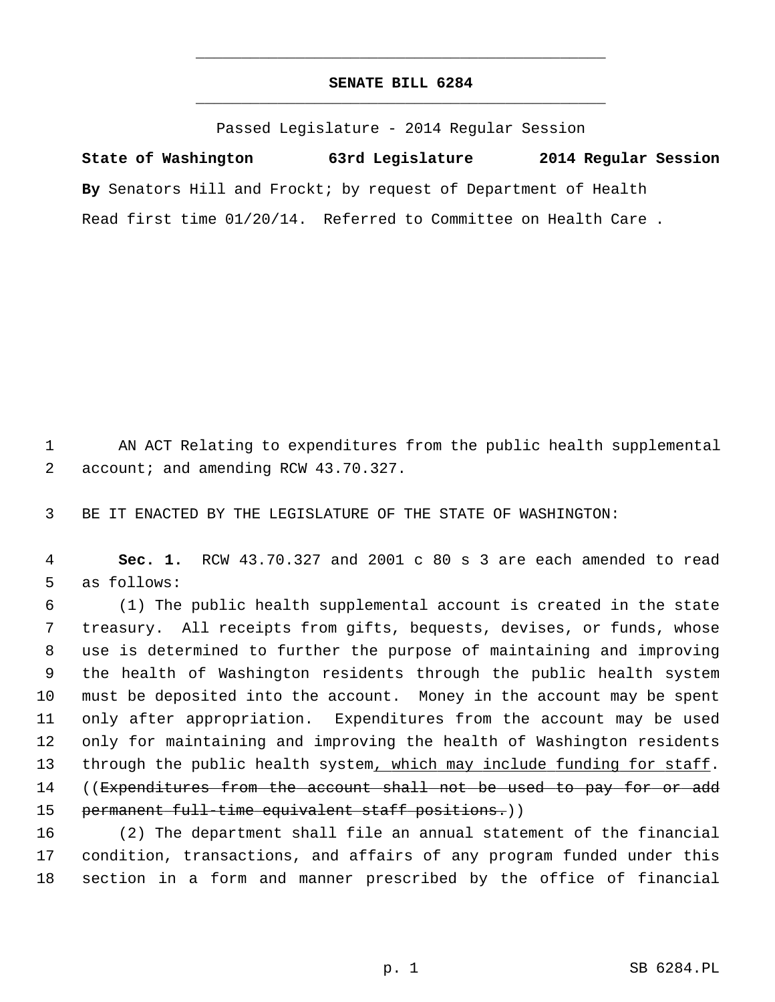## **SENATE BILL 6284** \_\_\_\_\_\_\_\_\_\_\_\_\_\_\_\_\_\_\_\_\_\_\_\_\_\_\_\_\_\_\_\_\_\_\_\_\_\_\_\_\_\_\_\_\_

\_\_\_\_\_\_\_\_\_\_\_\_\_\_\_\_\_\_\_\_\_\_\_\_\_\_\_\_\_\_\_\_\_\_\_\_\_\_\_\_\_\_\_\_\_

Passed Legislature - 2014 Regular Session

**State of Washington 63rd Legislature 2014 Regular Session By** Senators Hill and Frockt; by request of Department of Health Read first time 01/20/14. Referred to Committee on Health Care .

1 AN ACT Relating to expenditures from the public health supplemental 2 account; and amending RCW 43.70.327.

3 BE IT ENACTED BY THE LEGISLATURE OF THE STATE OF WASHINGTON:

 4 **Sec. 1.** RCW 43.70.327 and 2001 c 80 s 3 are each amended to read 5 as follows:

 6 (1) The public health supplemental account is created in the state 7 treasury. All receipts from gifts, bequests, devises, or funds, whose 8 use is determined to further the purpose of maintaining and improving 9 the health of Washington residents through the public health system 10 must be deposited into the account. Money in the account may be spent 11 only after appropriation. Expenditures from the account may be used 12 only for maintaining and improving the health of Washington residents 13 through the public health system, which may include funding for staff. 14 ((Expenditures from the account shall not be used to pay for or add 15 permanent full-time equivalent staff positions.))

16 (2) The department shall file an annual statement of the financial 17 condition, transactions, and affairs of any program funded under this 18 section in a form and manner prescribed by the office of financial